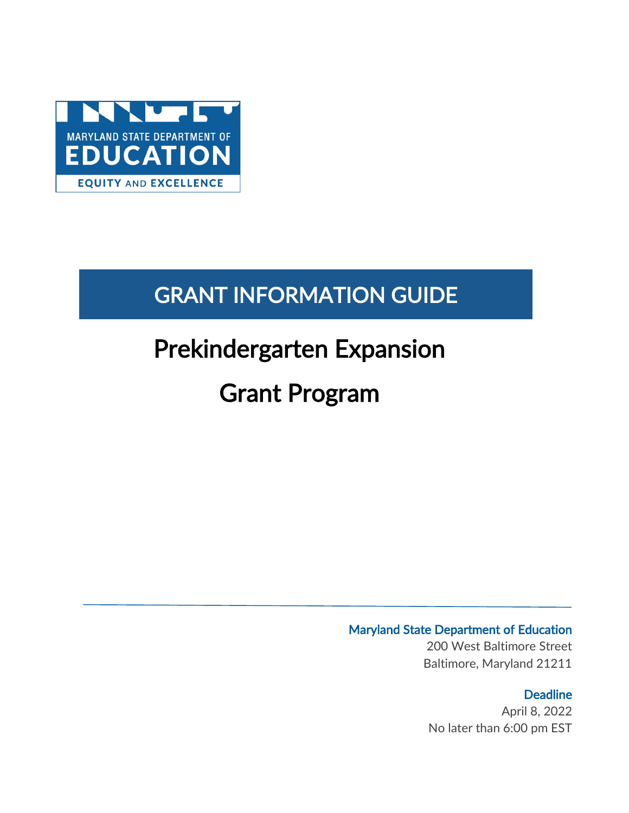

# GRANT INFORMATION GUIDE

# Prekindergarten Expansion

# Grant Program

### Maryland State Department of Education

200 West Baltimore Street Baltimore, Maryland 21211

### **Deadline**

April 8, 2022 No later than 6:00 pm EST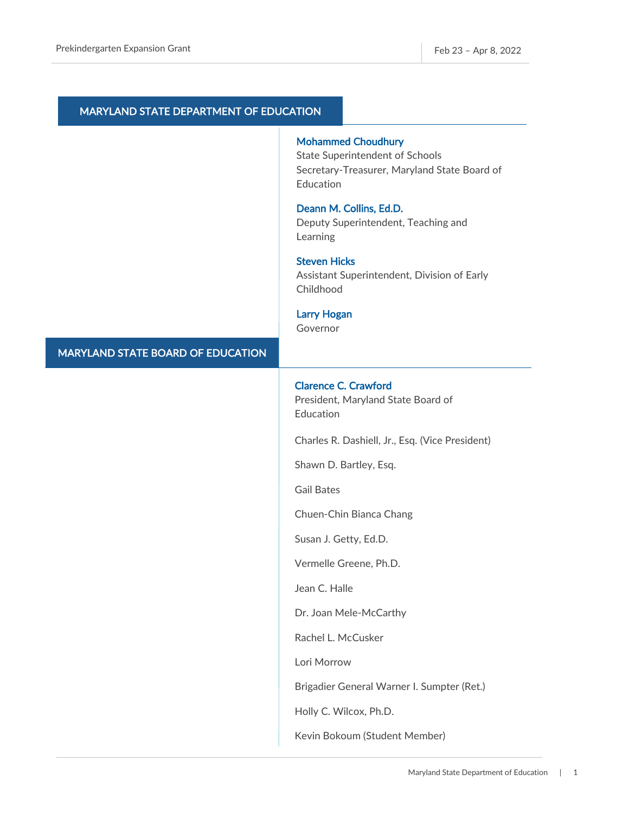| MARYLAND STATE DEPARTMENT OF EDUCATION |                                                                                                                                  |
|----------------------------------------|----------------------------------------------------------------------------------------------------------------------------------|
|                                        | <b>Mohammed Choudhury</b><br><b>State Superintendent of Schools</b><br>Secretary-Treasurer, Maryland State Board of<br>Education |
|                                        | Deann M. Collins, Ed.D.<br>Deputy Superintendent, Teaching and<br>Learning                                                       |
|                                        | <b>Steven Hicks</b><br>Assistant Superintendent, Division of Early<br>Childhood                                                  |
|                                        | <b>Larry Hogan</b><br>Governor                                                                                                   |
| MARYLAND STATE BOARD OF EDUCATION      |                                                                                                                                  |
|                                        | <b>Clarence C. Crawford</b><br>President, Maryland State Board of<br>Education                                                   |
|                                        | Charles R. Dashiell, Jr., Esq. (Vice President)                                                                                  |
|                                        | Shawn D. Bartley, Esq.                                                                                                           |
|                                        | <b>Gail Bates</b>                                                                                                                |
|                                        | Chuen-Chin Bianca Chang                                                                                                          |
|                                        | Susan J. Getty, Ed.D.                                                                                                            |
|                                        | Vermelle Greene, Ph.D.                                                                                                           |
|                                        | Jean C. Halle                                                                                                                    |
|                                        | Dr. Joan Mele-McCarthy                                                                                                           |
|                                        | Rachel L. McCusker                                                                                                               |
|                                        | Lori Morrow                                                                                                                      |
|                                        | Brigadier General Warner I. Sumpter (Ret.)                                                                                       |
|                                        | Holly C. Wilcox, Ph.D.                                                                                                           |
|                                        | Kevin Bokoum (Student Member)                                                                                                    |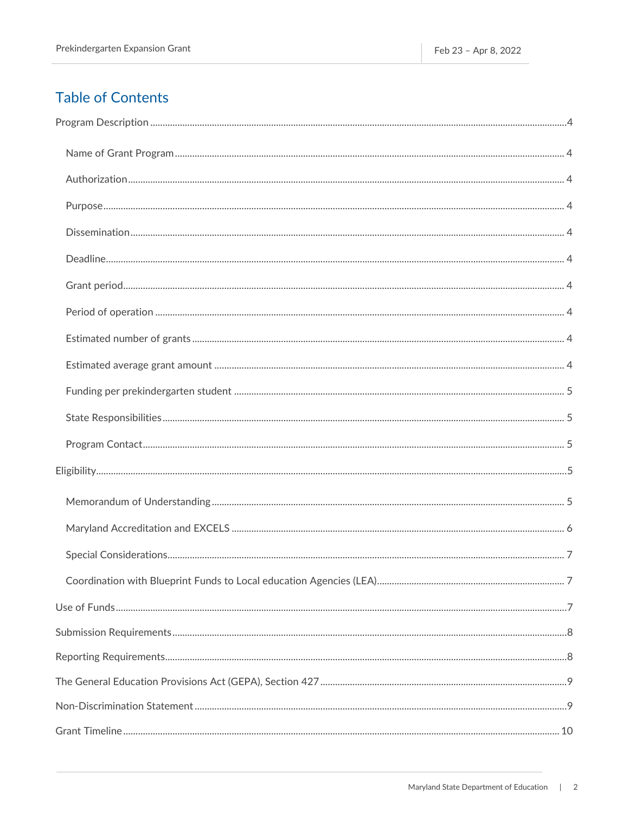### **Table of Contents**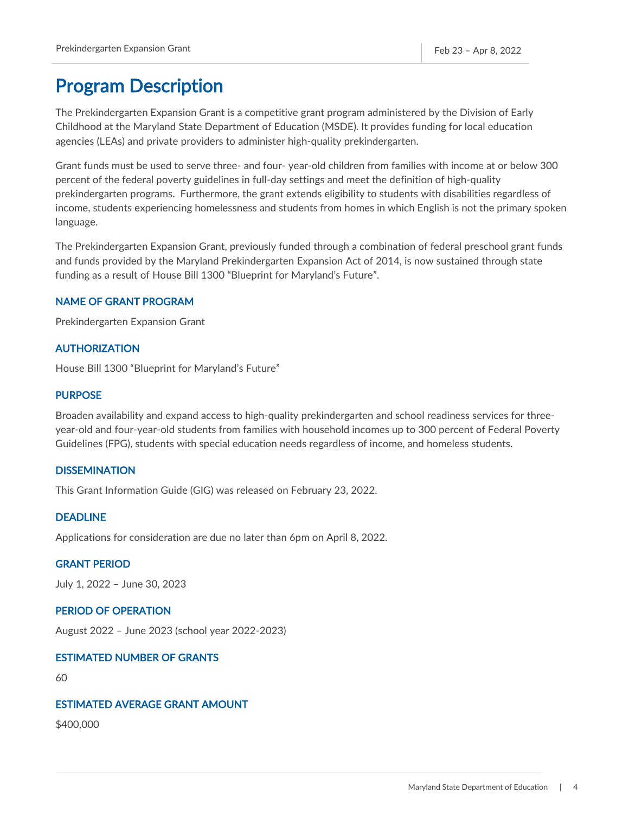### <span id="page-4-0"></span>Program Description

The Prekindergarten Expansion Grant is a competitive grant program administered by the Division of Early Childhood at the Maryland State Department of Education (MSDE). It provides funding for local education agencies (LEAs) and private providers to administer high-quality prekindergarten.

Grant funds must be used to serve three- and four- year-old children from families with income at or below 300 percent of the federal poverty guidelines in full-day settings and meet the definition of high-quality prekindergarten programs. Furthermore, the grant extends eligibility to students with disabilities regardless of income, students experiencing homelessness and students from homes in which English is not the primary spoken language.

The Prekindergarten Expansion Grant, previously funded through a combination of federal preschool grant funds and funds provided by the Maryland Prekindergarten Expansion Act of 2014, is now sustained through state funding as a result of House Bill 1300 "Blueprint for Maryland's Future".

### <span id="page-4-1"></span>NAME OF GRANT PROGRAM

Prekindergarten Expansion Grant

### <span id="page-4-2"></span>AUTHORIZATION

House Bill 1300 "Blueprint for Maryland's Future"

### <span id="page-4-3"></span>**PURPOSE**

Broaden availability and expand access to high-quality prekindergarten and school readiness services for threeyear-old and four-year-old students from families with household incomes up to 300 percent of Federal Poverty Guidelines (FPG), students with special education needs regardless of income, and homeless students.

#### <span id="page-4-4"></span>**DISSEMINATION**

This Grant Information Guide (GIG) was released on February 23, 2022.

### <span id="page-4-5"></span>DEADLINE

Applications for consideration are due no later than 6pm on April 8, 2022.

### <span id="page-4-6"></span>GRANT PERIOD

July 1, 2022 – June 30, 2023

### <span id="page-4-7"></span>PERIOD OF OPERATION

August 2022 – June 2023 (school year 2022-2023)

### <span id="page-4-8"></span>ESTIMATED NUMBER OF GRANTS

60

#### <span id="page-4-9"></span>ESTIMATED AVERAGE GRANT AMOUNT

\$400,000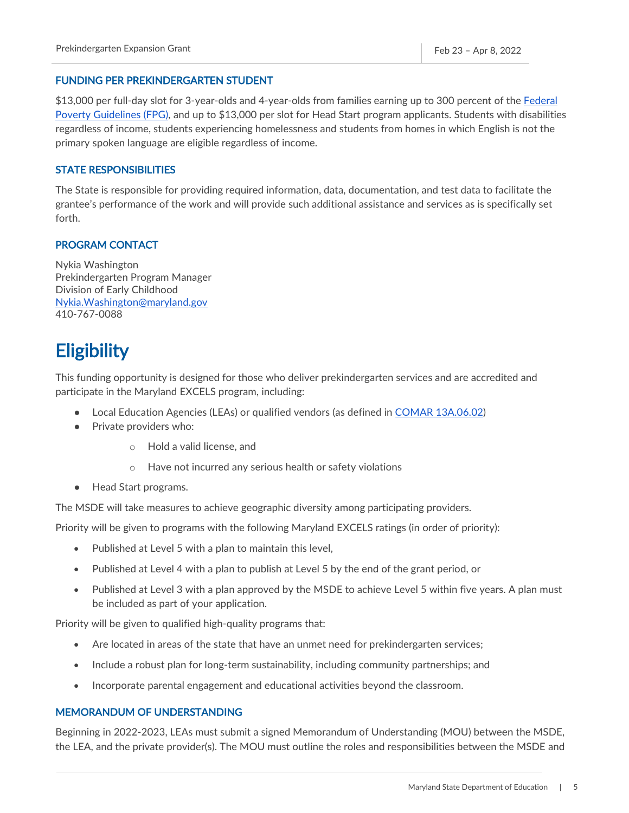#### <span id="page-5-0"></span>FUNDING PER PREKINDERGARTEN STUDENT

\$13,000 per full-day slot for 3-year-olds and 4-year-olds from families earning up to 300 percent of the Federal [Poverty Guidelines \(FPG\),](https://aspe.hhs.gov/sites/default/files/documents/4b515876c4674466423975826ac57583/Guidelines-2022.pdf) and up to \$13,000 per slot for Head Start program applicants. Students with disabilities regardless of income, students experiencing homelessness and students from homes in which English is not the primary spoken language are eligible regardless of income.

### <span id="page-5-1"></span>STATE RESPONSIBILITIES

The State is responsible for providing required information, data, documentation, and test data to facilitate the grantee's performance of the work and will provide such additional assistance and services as is specifically set forth.

#### <span id="page-5-2"></span>PROGRAM CONTACT

Nykia Washington Prekindergarten Program Manager Division of Early Childhood [Nykia.Washington@maryland.gov](mailto:Nykia.Washington@maryland.gov) 410-767-0088

### <span id="page-5-3"></span>**Eligibility**

This funding opportunity is designed for those who deliver prekindergarten services and are accredited and participate in the Maryland EXCELS program, including:

- Local Education Agencies (LEAs) or qualified vendors (as defined in [COMAR 13A.06.02\)](http://mdrules.elaws.us/comar/13a.06.02)
- Private providers who:
	- o Hold a valid license, and
	- o Have not incurred any serious health or safety violations
- Head Start programs.

The MSDE will take measures to achieve geographic diversity among participating providers.

Priority will be given to programs with the following Maryland EXCELS ratings (in order of priority):

- Published at Level 5 with a plan to maintain this level,
- Published at Level 4 with a plan to publish at Level 5 by the end of the grant period, or
- Published at Level 3 with a plan approved by the MSDE to achieve Level 5 within five years. A plan must be included as part of your application.

Priority will be given to qualified high-quality programs that:

- Are located in areas of the state that have an unmet need for prekindergarten services;
- Include a robust plan for long-term sustainability, including community partnerships; and
- Incorporate parental engagement and educational activities beyond the classroom.

#### <span id="page-5-4"></span>MEMORANDUM OF UNDERSTANDING

Beginning in 2022-2023, LEAs must submit a signed Memorandum of Understanding (MOU) between the MSDE, the LEA, and the private provider(s). The MOU must outline the roles and responsibilities between the MSDE and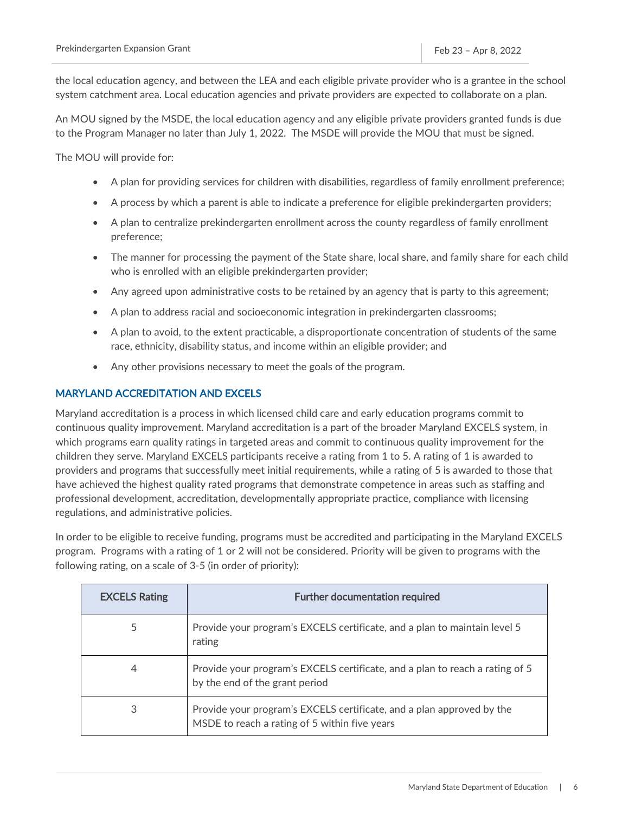the local education agency, and between the LEA and each eligible private provider who is a grantee in the school system catchment area. Local education agencies and private providers are expected to collaborate on a plan.

An MOU signed by the MSDE, the local education agency and any eligible private providers granted funds is due to the Program Manager no later than July 1, 2022. The MSDE will provide the MOU that must be signed.

The MOU will provide for:

- A plan for providing services for children with disabilities, regardless of family enrollment preference;
- A process by which a parent is able to indicate a preference for eligible prekindergarten providers;
- A plan to centralize prekindergarten enrollment across the county regardless of family enrollment preference;
- The manner for processing the payment of the State share, local share, and family share for each child who is enrolled with an eligible prekindergarten provider;
- Any agreed upon administrative costs to be retained by an agency that is party to this agreement;
- A plan to address racial and socioeconomic integration in prekindergarten classrooms;
- A plan to avoid, to the extent practicable, a disproportionate concentration of students of the same race, ethnicity, disability status, and income within an eligible provider; and
- Any other provisions necessary to meet the goals of the program.

### <span id="page-6-0"></span>MARYLAND ACCREDITATION AND EXCELS

Maryland accreditation is a process in which licensed child care and early education programs commit to continuous quality improvement. Maryland accreditation is a part of the broader Maryland EXCELS system, in which programs earn quality ratings in targeted areas and commit to continuous quality improvement for the children they serve. [Maryland EXCELS](https://marylandexcels.org/) participants receive a rating from 1 to 5. A rating of 1 is awarded to providers and programs that successfully meet initial requirements, while a rating of 5 is awarded to those that have achieved the highest quality rated programs that demonstrate competence in areas such as staffing and professional development, accreditation, developmentally appropriate practice, compliance with licensing regulations, and administrative policies.

In order to be eligible to receive funding, programs must be accredited and participating in the Maryland EXCELS program. Programs with a rating of 1 or 2 will not be considered. Priority will be given to programs with the following rating, on a scale of 3-5 (in order of priority):

| <b>EXCELS Rating</b> | <b>Further documentation required</b>                                                                                  |
|----------------------|------------------------------------------------------------------------------------------------------------------------|
| 5                    | Provide your program's EXCELS certificate, and a plan to maintain level 5<br>rating                                    |
| 4                    | Provide your program's EXCELS certificate, and a plan to reach a rating of 5<br>by the end of the grant period         |
| 3                    | Provide your program's EXCELS certificate, and a plan approved by the<br>MSDE to reach a rating of 5 within five years |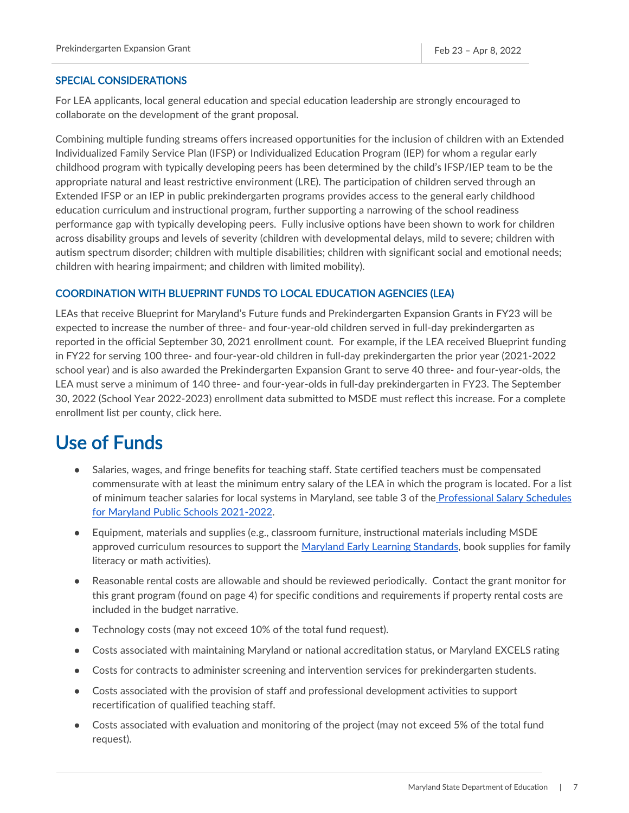### <span id="page-7-0"></span>SPECIAL CONSIDERATIONS

For LEA applicants, local general education and special education leadership are strongly encouraged to collaborate on the development of the grant proposal.

Combining multiple funding streams offers increased opportunities for the inclusion of children with an Extended Individualized Family Service Plan (IFSP) or Individualized Education Program (IEP) for whom a regular early childhood program with typically developing peers has been determined by the child's IFSP/IEP team to be the appropriate natural and least restrictive environment (LRE). The participation of children served through an Extended IFSP or an IEP in public prekindergarten programs provides access to the general early childhood education curriculum and instructional program, further supporting a narrowing of the school readiness performance gap with typically developing peers. Fully inclusive options have been shown to work for children across disability groups and levels of severity (children with developmental delays, mild to severe; children with autism spectrum disorder; children with multiple disabilities; children with significant social and emotional needs; children with hearing impairment; and children with limited mobility).

### <span id="page-7-1"></span>COORDINATION WITH BLUEPRINT FUNDS TO LOCAL EDUCATION AGENCIES (LEA)

LEAs that receive Blueprint for Maryland's Future funds and Prekindergarten Expansion Grants in FY23 will be expected to increase the number of three- and four-year-old children served in full-day prekindergarten as reported in the official September 30, 2021 enrollment count. For example, if the LEA received Blueprint funding in FY22 for serving 100 three- and four-year-old children in full-day prekindergarten the prior year (2021-2022 school year) and is also awarded the Prekindergarten Expansion Grant to serve 40 three- and four-year-olds, the LEA must serve a minimum of 140 three- and four-year-olds in full-day prekindergarten in FY23. The September 30, 2022 (School Year 2022-2023) enrollment data submitted to MSDE must reflect this increase. For a complete enrollment list per county, click here.

### <span id="page-7-2"></span>Use of Funds

- Salaries, wages, and fringe benefits for teaching staff. State certified teachers must be compensated commensurate with at least the minimum entry salary of the LEA in which the program is located. For a list of minimum teacher salaries for local systems in Maryland, see table 3 of the [Professional Salary Schedules](https://www.marylandpublicschools.org/about/Documents/DCAA/SSP/20212022Staff/2022ProfessionalSalarySchedules.pdf)  [for Maryland Public Schools 2021-2022.](https://www.marylandpublicschools.org/about/Documents/DCAA/SSP/20212022Staff/2022ProfessionalSalarySchedules.pdf)
- Equipment, materials and supplies (e.g., classroom furniture, instructional materials including MSDE approved curriculum resources to support the [Maryland Early Learning Standards,](https://earlychildhood.marylandpublicschools.org/system/files/filedepot/4/msde-pedagogy-report-_appendix_2016.pdf) book supplies for family literacy or math activities).
- Reasonable rental costs are allowable and should be reviewed periodically. Contact the grant monitor for this grant program (found on page 4) for specific conditions and requirements if property rental costs are included in the budget narrative.
- Technology costs (may not exceed 10% of the total fund request).
- Costs associated with maintaining Maryland or national accreditation status, or Maryland EXCELS rating
- Costs for contracts to administer screening and intervention services for prekindergarten students.
- Costs associated with the provision of staff and professional development activities to support recertification of qualified teaching staff.
- Costs associated with evaluation and monitoring of the project (may not exceed 5% of the total fund request).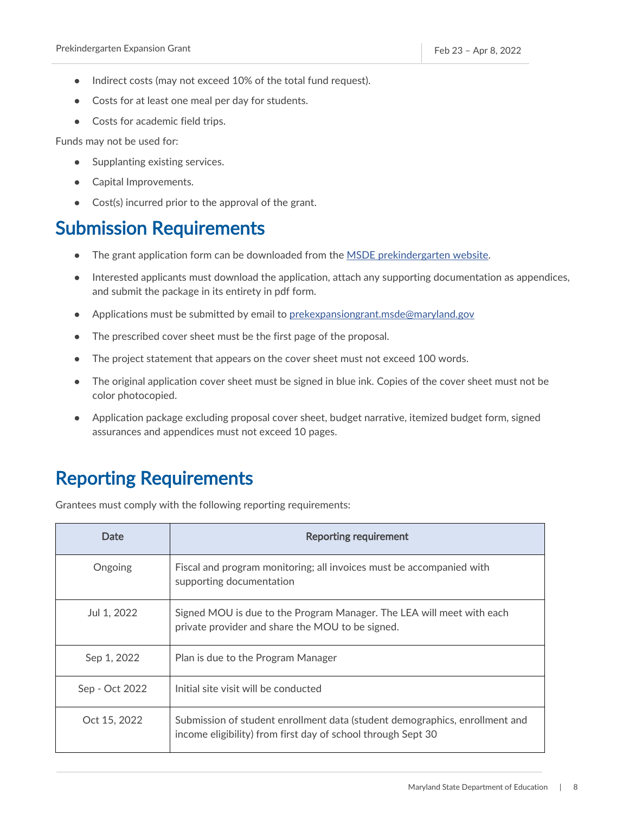- Indirect costs (may not exceed 10% of the total fund request).
- Costs for at least one meal per day for students.
- Costs for academic field trips.

Funds may not be used for:

- Supplanting existing services.
- Capital Improvements.
- Cost(s) incurred prior to the approval of the grant.

### <span id="page-8-0"></span>Submission Requirements

- The grant application form can be downloaded from th[e MSDE prekindergarten website.](https://earlychildhood.marylandpublicschools.org/maryland-prek-grant-programs)
- Interested applicants must download the application, attach any supporting documentation as appendices, and submit the package in its entirety in pdf form.
- Applications must be submitted by email to [prekexpansiongrant.msde@maryland.gov](mailto:prekexpansiongrant.msde@maryland.gov)
- The prescribed cover sheet must be the first page of the proposal.
- The project statement that appears on the cover sheet must not exceed 100 words.
- The original application cover sheet must be signed in blue ink. Copies of the cover sheet must not be color photocopied.
- Application package excluding proposal cover sheet, budget narrative, itemized budget form, signed assurances and appendices must not exceed 10 pages.

### <span id="page-8-1"></span>Reporting Requirements

Grantees must comply with the following reporting requirements:

| Date           | <b>Reporting requirement</b>                                                                                                                |
|----------------|---------------------------------------------------------------------------------------------------------------------------------------------|
| Ongoing        | Fiscal and program monitoring; all invoices must be accompanied with<br>supporting documentation                                            |
| Jul 1, 2022    | Signed MOU is due to the Program Manager. The LEA will meet with each<br>private provider and share the MOU to be signed.                   |
| Sep 1, 2022    | Plan is due to the Program Manager                                                                                                          |
| Sep - Oct 2022 | Initial site visit will be conducted                                                                                                        |
| Oct 15, 2022   | Submission of student enrollment data (student demographics, enrollment and<br>income eligibility) from first day of school through Sept 30 |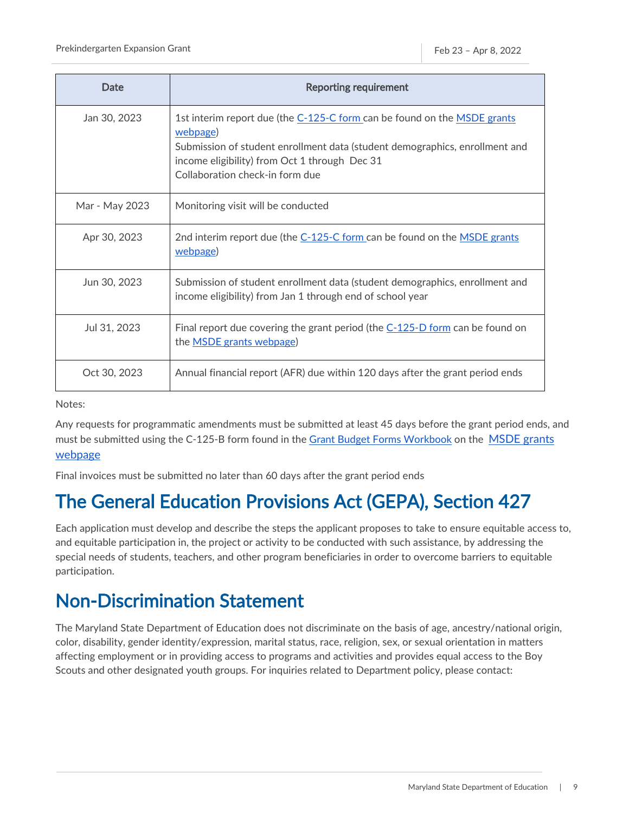| Date           | <b>Reporting requirement</b>                                                                                                                                                                                                                            |
|----------------|---------------------------------------------------------------------------------------------------------------------------------------------------------------------------------------------------------------------------------------------------------|
| Jan 30, 2023   | 1st interim report due (the C-125-C form can be found on the MSDE grants<br>webpage)<br>Submission of student enrollment data (student demographics, enrollment and<br>income eligibility) from Oct 1 through Dec 31<br>Collaboration check-in form due |
| Mar - May 2023 | Monitoring visit will be conducted                                                                                                                                                                                                                      |
| Apr 30, 2023   | 2nd interim report due (the C-125-C form can be found on the MSDE grants<br>webpage)                                                                                                                                                                    |
| Jun 30, 2023   | Submission of student enrollment data (student demographics, enrollment and<br>income eligibility) from Jan 1 through end of school year                                                                                                                |
| Jul 31, 2023   | Final report due covering the grant period (the $C-125-D$ form can be found on<br>the <b>MSDE</b> grants webpage)                                                                                                                                       |
| Oct 30, 2023   | Annual financial report (AFR) due within 120 days after the grant period ends                                                                                                                                                                           |

Notes:

Any requests for programmatic amendments must be submitted at least 45 days before the grant period ends, and must be submitted using the C-125-B form found in the [Grant Budget Forms Workbook](https://marylandpublicschools.org/about/Pages/Grants/BudgetInfo.aspx) on the MSDE grants [webpage](https://www.marylandpublicschools.org/about/Pages/Grants/Forms.aspx)

Final invoices must be submitted no later than 60 days after the grant period ends

# <span id="page-9-0"></span>The General Education Provisions Act (GEPA), Section 427

Each application must develop and describe the steps the applicant proposes to take to ensure equitable access to, and equitable participation in, the project or activity to be conducted with such assistance, by addressing the special needs of students, teachers, and other program beneficiaries in order to overcome barriers to equitable participation.

## <span id="page-9-1"></span>Non-Discrimination Statement

The Maryland State Department of Education does not discriminate on the basis of age, ancestry/national origin, color, disability, gender identity/expression, marital status, race, religion, sex, or sexual orientation in matters affecting employment or in providing access to programs and activities and provides equal access to the Boy Scouts and other designated youth groups. For inquiries related to Department policy, please contact: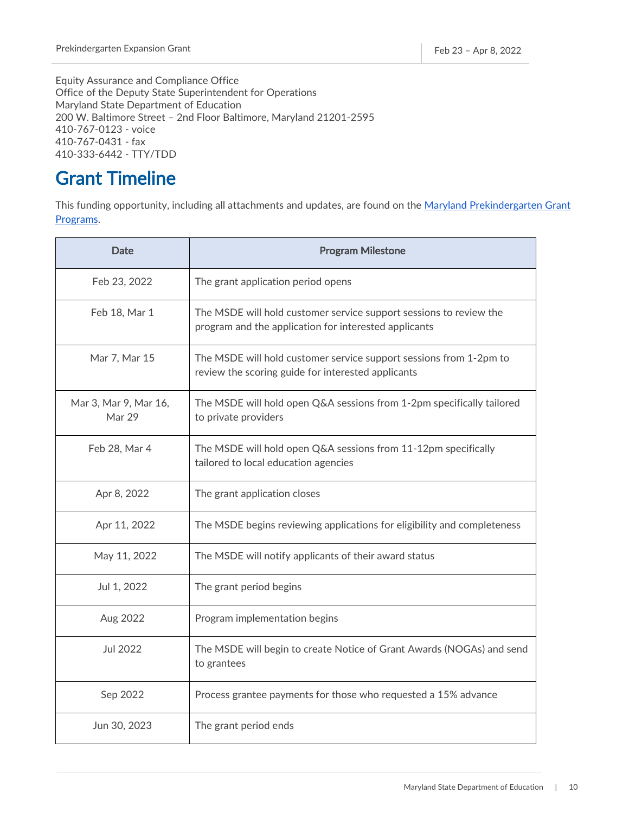Equity Assurance and Compliance Office Office of the Deputy State Superintendent for Operations Maryland State Department of Education 200 W. Baltimore Street – 2nd Floor Baltimore, Maryland 21201-2595 410-767-0123 - voice 410-767-0431 - fax 410-333-6442 - TTY/TDD

## <span id="page-10-0"></span>Grant Timeline

This funding opportunity, including all attachments and updates, are found on the Maryland Prekindergarten Grant [Programs.](https://earlychildhood.marylandpublicschools.org/maryland-prek-grant-programs)

| <b>Date</b>                     | <b>Program Milestone</b>                                                                                                    |
|---------------------------------|-----------------------------------------------------------------------------------------------------------------------------|
| Feb 23, 2022                    | The grant application period opens                                                                                          |
| Feb 18, Mar 1                   | The MSDE will hold customer service support sessions to review the<br>program and the application for interested applicants |
| Mar 7, Mar 15                   | The MSDE will hold customer service support sessions from 1-2pm to<br>review the scoring guide for interested applicants    |
| Mar 3, Mar 9, Mar 16,<br>Mar 29 | The MSDE will hold open Q&A sessions from 1-2pm specifically tailored<br>to private providers                               |
| Feb 28, Mar 4                   | The MSDE will hold open Q&A sessions from 11-12pm specifically<br>tailored to local education agencies                      |
| Apr 8, 2022                     | The grant application closes                                                                                                |
| Apr 11, 2022                    | The MSDE begins reviewing applications for eligibility and completeness                                                     |
| May 11, 2022                    | The MSDE will notify applicants of their award status                                                                       |
| Jul 1, 2022                     | The grant period begins                                                                                                     |
| Aug 2022                        | Program implementation begins                                                                                               |
| Jul 2022                        | The MSDE will begin to create Notice of Grant Awards (NOGAs) and send<br>to grantees                                        |
| Sep 2022                        | Process grantee payments for those who requested a 15% advance                                                              |
| Jun 30, 2023                    | The grant period ends                                                                                                       |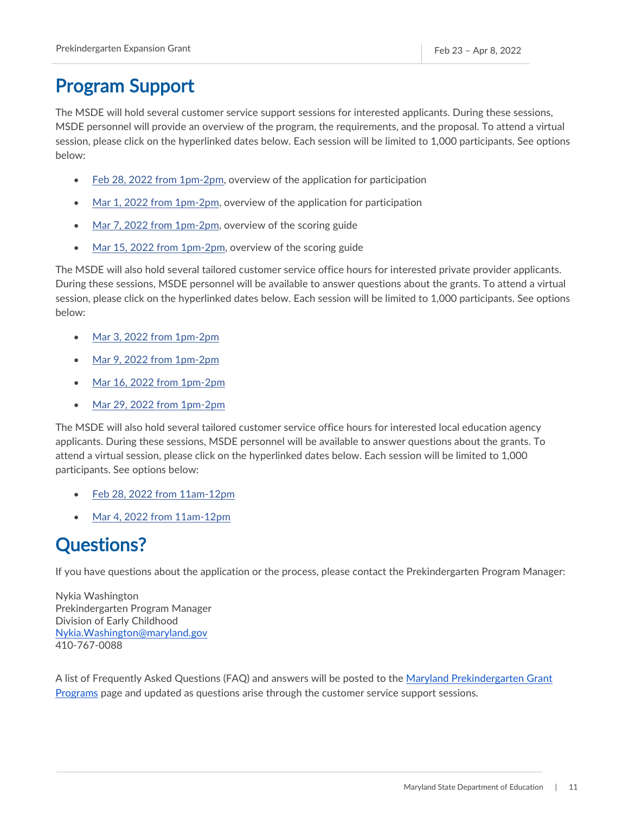## <span id="page-11-0"></span>Program Support

The MSDE will hold several customer service support sessions for interested applicants. During these sessions, MSDE personnel will provide an overview of the program, the requirements, and the proposal. To attend a virtual session, please click on the hyperlinked dates below. Each session will be limited to 1,000 participants. See options below:

- [Feb 28, 2022 from 1pm-2pm,](https://msde.webex.com/msde/j.php?MTID=me490f8e7a9f8f9ad1c5c544272d09b92) overview of the application for participation
- [Mar 1, 2022 from 1pm-2pm,](https://msde.webex.com/msde/j.php?MTID=m7122584fddfe14f5b062f68016468d3e) overview of the application for participation
- Mar 7, [2022 from 1pm-2pm,](https://msde.webex.com/msde/j.php?MTID=mbe93ee08ac109c4121924431e29867af) overview of the scoring guide
- [Mar 15, 2022 from 1pm-2pm,](https://msde.webex.com/msde/j.php?MTID=m3a0f6980b243a42fd82d2af2c60c80df) overview of the scoring guide

The MSDE will also hold several tailored customer service office hours for interested private provider applicants. During these sessions, MSDE personnel will be available to answer questions about the grants. To attend a virtual session, please click on the hyperlinked dates below. Each session will be limited to 1,000 participants. See options below:

- [Mar 3, 2022 from 1pm-2pm](https://msde.webex.com/msde/j.php?MTID=m60dc90b53a3fd462f67637c9e8185063)
- [Mar 9, 2022 from 1pm-2pm](https://msde.webex.com/msde/j.php?MTID=m4ee28d8fab735c4996e22f81d5939040)
- [Mar 16, 2022 from 1pm-2pm](https://msde.webex.com/msde/j.php?MTID=m180538357f925cd0df91cf2b862db4b4)
- [Mar 29, 2022 from 1pm-2pm](https://msde.webex.com/msde/j.php?MTID=m50ef93a793c0ddcee13488554aa01cfb)

The MSDE will also hold several tailored customer service office hours for interested local education agency applicants. During these sessions, MSDE personnel will be available to answer questions about the grants. To attend a virtual session, please click on the hyperlinked dates below. Each session will be limited to 1,000 participants. See options below:

- [Feb 28, 2022 from 11am-12pm](https://msde.webex.com/msde/j.php?MTID=me490f8e7a9f8f9ad1c5c544272d09b92)
- [Mar 4, 2022 from 11am-12pm](https://msde.webex.com/msde/j.php?MTID=m1d7df250a0a9cb6e9fd2e6ee7ba3c79d)

### <span id="page-11-1"></span>Questions?

If you have questions about the application or the process, please contact the Prekindergarten Program Manager:

Nykia Washington Prekindergarten Program Manager Division of Early Childhood [Nykia.Washington@maryland.gov](mailto:Nykia.Washington@maryland.gov) 410-767-0088

A list of Frequently Asked Questions (FAQ) and answers will be posted to the [Maryland Prekindergarten Grant](https://earlychildhood.marylandpublicschools.org/maryland-prek-grant-programs)  [Programs](https://earlychildhood.marylandpublicschools.org/maryland-prek-grant-programs) page and updated as questions arise through the customer service support sessions.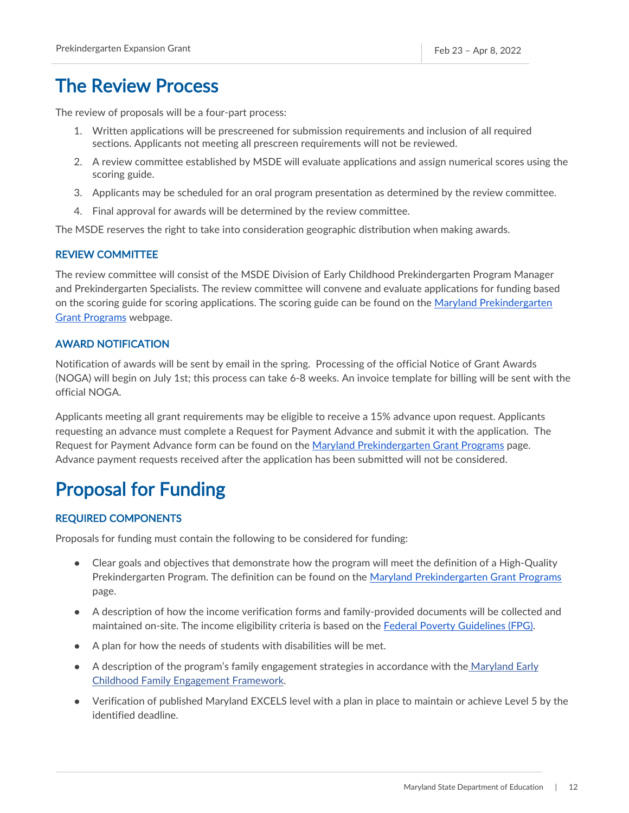### <span id="page-12-0"></span>The Review Process

The review of proposals will be a four-part process:

- 1. Written applications will be prescreened for submission requirements and inclusion of all required sections. Applicants not meeting all prescreen requirements will not be reviewed.
- 2. A review committee established by MSDE will evaluate applications and assign numerical scores using the scoring guide.
- 3. Applicants may be scheduled for an oral program presentation as determined by the review committee.
- 4. Final approval for awards will be determined by the review committee.

The MSDE reserves the right to take into consideration geographic distribution when making awards.

### <span id="page-12-1"></span>REVIEW COMMITTEE

The review committee will consist of the MSDE Division of Early Childhood Prekindergarten Program Manager and Prekindergarten Specialists. The review committee will convene and evaluate applications for funding based on the scoring guide for scoring applications. The scoring guide can be found on the [Maryland Prekindergarten](https://earlychildhood.marylandpublicschools.org/maryland-prek-grant-programs)  [Grant Programs](https://earlychildhood.marylandpublicschools.org/maryland-prek-grant-programs) webpage.

### <span id="page-12-2"></span>AWARD NOTIFICATION

Notification of awards will be sent by email in the spring. Processing of the official Notice of Grant Awards (NOGA) will begin on July 1st; this process can take 6-8 weeks. An invoice template for billing will be sent with the official NOGA.

Applicants meeting all grant requirements may be eligible to receive a 15% advance upon request. Applicants requesting an advance must complete a Request for Payment Advance and submit it with the application. The Request for Payment Advance form can be found on the [Maryland Prekindergarten Grant Programs](https://earlychildhood.marylandpublicschools.org/maryland-prek-grant-programs) page. Advance payment requests received after the application has been submitted will not be considered.

### <span id="page-12-3"></span>Proposal for Funding

### <span id="page-12-4"></span>REQUIRED COMPONENTS

Proposals for funding must contain the following to be considered for funding:

- Clear goals and objectives that demonstrate how the program will meet the definition of a High-Quality Prekindergarten Program. The definition can be found on the [Maryland Prekindergarten Grant Programs](https://earlychildhood.marylandpublicschools.org/maryland-prek-grant-programs) page.
- A description of how the income verification forms and family-provided documents will be collected and maintained on-site. The income eligibility criteria is based on the [Federal Poverty Gu](https://aspe.hhs.gov/sites/default/files/documents/4b515876c4674466423975826ac57583/Guidelines-2022.pdf)idelines (FPG).
- A plan for how the needs of students with disabilities will be met.
- A description of the program's family engagement strategies in accordance with the Maryland Early [Childhood Family Engagement Framework.](http://earlychildhood.marylandpublicschools.org/system/files/filedepot/4/md_fam_engage.pdf)
- Verification of published Maryland EXCELS level with a plan in place to maintain or achieve Level 5 by the identified deadline.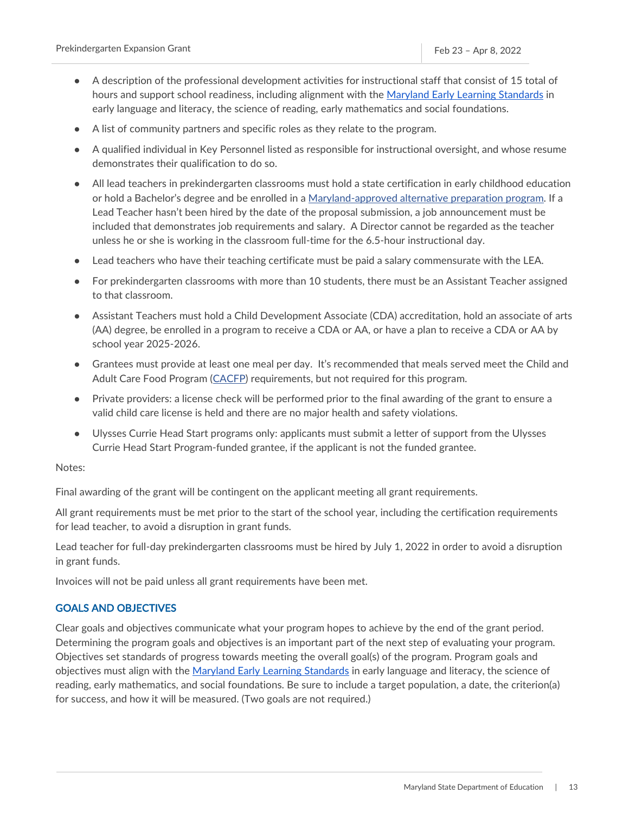- A description of the professional development activities for instructional staff that consist of 15 total of hours and support school readiness, including alignment with the [Maryland Early Learning Standards](https://earlychildhood.marylandpublicschools.org/system/files/filedepot/4/msde-pedagogy-report-_appendix_2016.pdf) in early language and literacy, the science of reading, early mathematics and social foundations.
- A list of community partners and specific roles as they relate to the program.
- A qualified individual in Key Personnel listed as responsible for instructional oversight, and whose resume demonstrates their qualification to do so.
- All lead teachers in prekindergarten classrooms must hold a state certification in early childhood education or hold a Bachelor's degree and be enrolled in a [Maryland-approved alternative preparation program.](https://teach.in.maryland.gov/Pages/Alternative-Educator-Preparation-Program-Contacts.aspx) If a Lead Teacher hasn't been hired by the date of the proposal submission, a job announcement must be included that demonstrates job requirements and salary. A Director cannot be regarded as the teacher unless he or she is working in the classroom full-time for the 6.5-hour instructional day.
- Lead teachers who have their teaching certificate must be paid a salary commensurate with the LEA.
- For prekindergarten classrooms with more than 10 students, there must be an Assistant Teacher assigned to that classroom.
- Assistant Teachers must hold a Child Development Associate (CDA) accreditation, hold an associate of arts (AA) degree, be enrolled in a program to receive a CDA or AA, or have a plan to receive a CDA or AA by school year 2025-2026.
- Grantees must provide at least one meal per day. It's recommended that meals served meet the Child and Adult Care Food Program [\(CACFP\)](https://marylandpublicschools.org/programs/SchoolandCommunityNutrition/Pages/Programs/CACFP.aspx) requirements, but not required for this program.
- Private providers: a license check will be performed prior to the final awarding of the grant to ensure a valid child care license is held and there are no major health and safety violations.
- Ulysses Currie Head Start programs only: applicants must submit a letter of support from the Ulysses Currie Head Start Program-funded grantee, if the applicant is not the funded grantee.

#### Notes:

Final awarding of the grant will be contingent on the applicant meeting all grant requirements.

All grant requirements must be met prior to the start of the school year, including the certification requirements for lead teacher, to avoid a disruption in grant funds.

Lead teacher for full-day prekindergarten classrooms must be hired by July 1, 2022 in order to avoid a disruption in grant funds.

Invoices will not be paid unless all grant requirements have been met.

### <span id="page-13-0"></span>GOALS AND OBJECTIVES

Clear goals and objectives communicate what your program hopes to achieve by the end of the grant period. Determining the program goals and objectives is an important part of the next step of evaluating your program. Objectives set standards of progress towards meeting the overall goal(s) of the program. Program goals and objectives must align with the [Maryland Early Learning Standards](https://earlychildhood.marylandpublicschools.org/system/files/filedepot/4/msde-pedagogy-report-_appendix_2016.pdf) in early language and literacy, the science of reading, early mathematics, and social foundations. Be sure to include a target population, a date, the criterion(a) for success, and how it will be measured. (Two goals are not required.)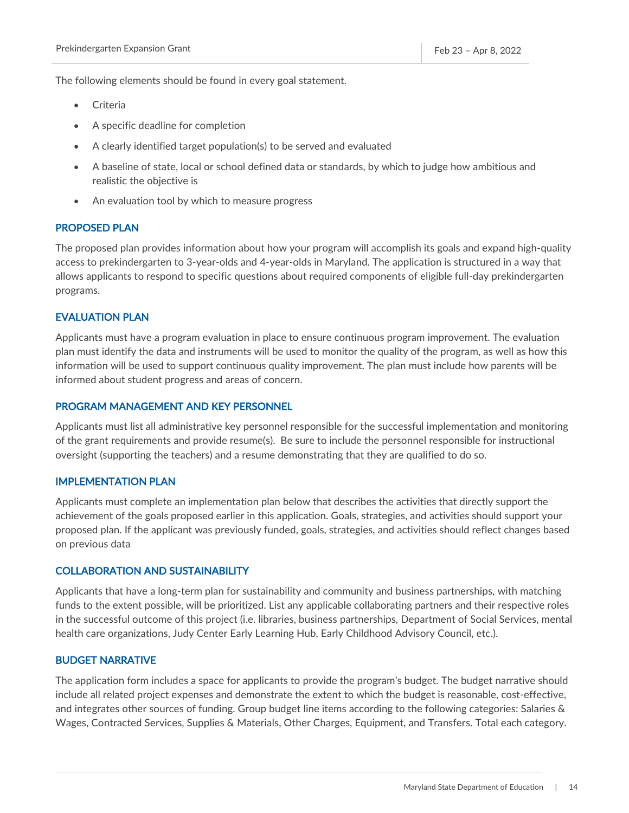The following elements should be found in every goal statement.

- **Criteria**
- A specific deadline for completion
- A clearly identified target population(s) to be served and evaluated
- A baseline of state, local or school defined data or standards, by which to judge how ambitious and realistic the objective is
- An evaluation tool by which to measure progress

### <span id="page-14-0"></span>PROPOSED PLAN

The proposed plan provides information about how your program will accomplish its goals and expand high-quality access to prekindergarten to 3-year-olds and 4-year-olds in Maryland. The application is structured in a way that allows applicants to respond to specific questions about required components of eligible full-day prekindergarten programs.

### <span id="page-14-1"></span>EVALUATION PLAN

Applicants must have a program evaluation in place to ensure continuous program improvement. The evaluation plan must identify the data and instruments will be used to monitor the quality of the program, as well as how this information will be used to support continuous quality improvement. The plan must include how parents will be informed about student progress and areas of concern.

### <span id="page-14-2"></span>PROGRAM MANAGEMENT AND KEY PERSONNEL

Applicants must list all administrative key personnel responsible for the successful implementation and monitoring of the grant requirements and provide resume(s). Be sure to include the personnel responsible for instructional oversight (supporting the teachers) and a resume demonstrating that they are qualified to do so.

#### <span id="page-14-3"></span>IMPLEMENTATION PLAN

Applicants must complete an implementation plan below that describes the activities that directly support the achievement of the goals proposed earlier in this application. Goals, strategies, and activities should support your proposed plan. If the applicant was previously funded, goals, strategies, and activities should reflect changes based on previous data

#### <span id="page-14-4"></span>COLLABORATION AND SUSTAINABILITY

Applicants that have a long-term plan for sustainability and community and business partnerships, with matching funds to the extent possible, will be prioritized. List any applicable collaborating partners and their respective roles in the successful outcome of this project (i.e. libraries, business partnerships, Department of Social Services, mental health care organizations, Judy Center Early Learning Hub, Early Childhood Advisory Council, etc.).

### <span id="page-14-5"></span>BUDGET NARRATIVE

The application form includes a space for applicants to provide the program's budget. The budget narrative should include all related project expenses and demonstrate the extent to which the budget is reasonable, cost-effective, and integrates other sources of funding. Group budget line items according to the following categories: Salaries & Wages, Contracted Services, Supplies & Materials, Other Charges, Equipment, and Transfers. Total each category.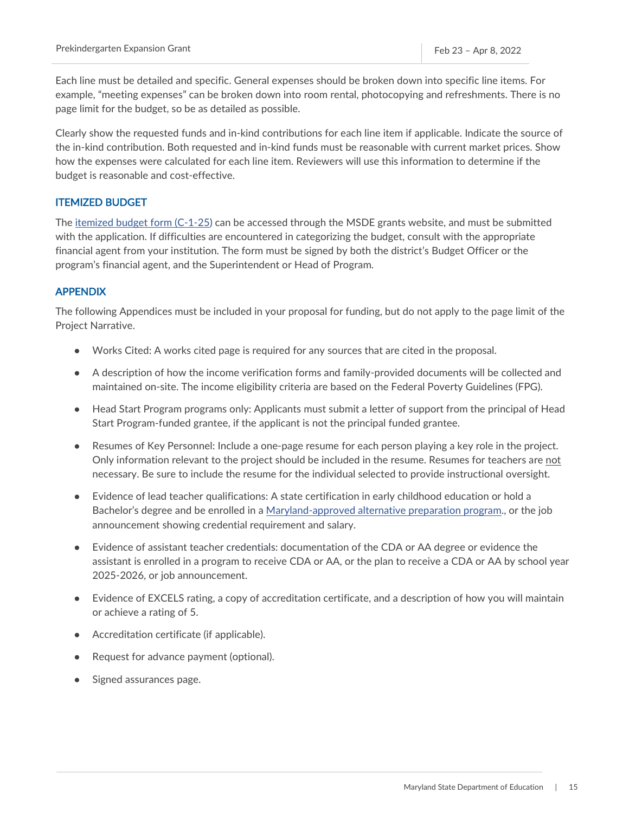Each line must be detailed and specific. General expenses should be broken down into specific line items. For example, "meeting expenses" can be broken down into room rental, photocopying and refreshments. There is no page limit for the budget, so be as detailed as possible.

Clearly show the requested funds and in-kind contributions for each line item if applicable. Indicate the source of the in-kind contribution. Both requested and in-kind funds must be reasonable with current market prices. Show how the expenses were calculated for each line item. Reviewers will use this information to determine if the budget is reasonable and cost-effective.

#### <span id="page-15-0"></span>ITEMIZED BUDGET

The [itemized budget form \(C-1-25\)](https://marylandpublicschools.org/about/Documents/Grants/GrantForms-12-10-2020.xls) can be accessed through the MSDE grants website, and must be submitted with the application. If difficulties are encountered in categorizing the budget, consult with the appropriate financial agent from your institution. The form must be signed by both the district's Budget Officer or the program's financial agent, and the Superintendent or Head of Program.

### <span id="page-15-1"></span>APPENDIX

The following Appendices must be included in your proposal for funding, but do not apply to the page limit of the Project Narrative.

- Works Cited: A works cited page is required for any sources that are cited in the proposal.
- A description of how the income verification forms and family-provided documents will be collected and maintained on-site. The income eligibility criteria are based on the Federal Poverty Guidelines (FPG).
- Head Start Program programs only: Applicants must submit a letter of support from the principal of Head Start Program-funded grantee, if the applicant is not the principal funded grantee.
- Resumes of Key Personnel: Include a one-page resume for each person playing a key role in the project. Only information relevant to the project should be included in the resume. Resumes for teachers are not necessary. Be sure to include the resume for the individual selected to provide instructional oversight.
- Evidence of lead teacher qualifications: A state certification in early childhood education or hold a Bachelor's degree and be enrolled in a [Maryland-approved alternative preparation program.,](https://teach.in.maryland.gov/Pages/Alternative-Educator-Preparation-Program-Contacts.aspx) or the job announcement showing credential requirement and salary.
- Evidence of assistant teacher credentials: documentation of the CDA or AA degree or evidence the assistant is enrolled in a program to receive CDA or AA, or the plan to receive a CDA or AA by school year 2025-2026, or job announcement.
- Evidence of EXCELS rating, a copy of accreditation certificate, and a description of how you will maintain or achieve a rating of 5.
- Accreditation certificate (if applicable).
- Request for advance payment (optional).
- Signed assurances page.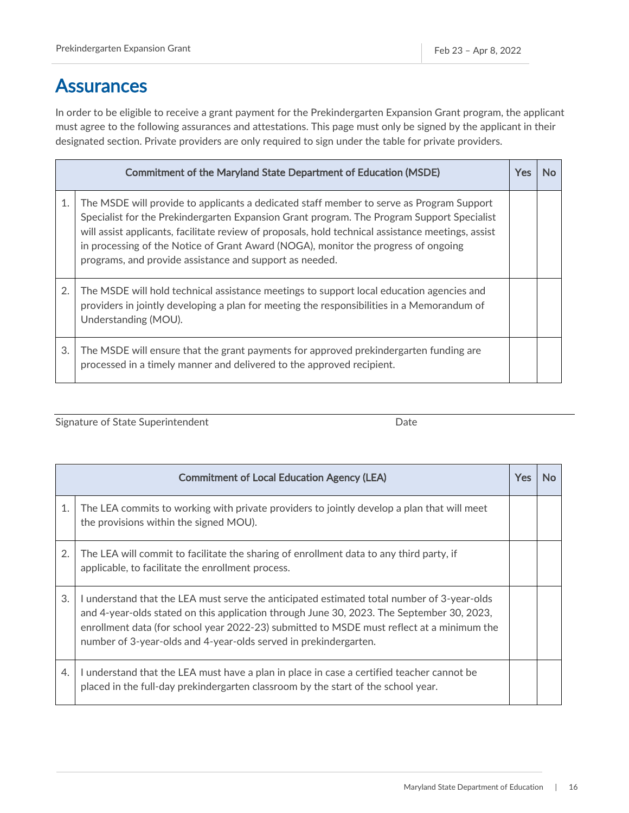### <span id="page-16-0"></span>**Assurances**

In order to be eligible to receive a grant payment for the Prekindergarten Expansion Grant program, the applicant must agree to the following assurances and attestations. This page must only be signed by the applicant in their designated section. Private providers are only required to sign under the table for private providers.

| <b>Commitment of the Maryland State Department of Education (MSDE)</b> |                                                                                                                                                                                                                                                                                                                                                                                                                                               | Yes | N٥ |
|------------------------------------------------------------------------|-----------------------------------------------------------------------------------------------------------------------------------------------------------------------------------------------------------------------------------------------------------------------------------------------------------------------------------------------------------------------------------------------------------------------------------------------|-----|----|
| 1.                                                                     | The MSDE will provide to applicants a dedicated staff member to serve as Program Support<br>Specialist for the Prekindergarten Expansion Grant program. The Program Support Specialist<br>will assist applicants, facilitate review of proposals, hold technical assistance meetings, assist<br>in processing of the Notice of Grant Award (NOGA), monitor the progress of ongoing<br>programs, and provide assistance and support as needed. |     |    |
| 2.                                                                     | The MSDE will hold technical assistance meetings to support local education agencies and<br>providers in jointly developing a plan for meeting the responsibilities in a Memorandum of<br>Understanding (MOU).                                                                                                                                                                                                                                |     |    |
| 3.                                                                     | The MSDE will ensure that the grant payments for approved prekindergarten funding are<br>processed in a timely manner and delivered to the approved recipient.                                                                                                                                                                                                                                                                                |     |    |

Signature of State Superintendent data and the Date Date

| <b>Commitment of Local Education Agency (LEA)</b> |                                                                                                                                                                                                                                                                                                                                                          | Yes | Nο |
|---------------------------------------------------|----------------------------------------------------------------------------------------------------------------------------------------------------------------------------------------------------------------------------------------------------------------------------------------------------------------------------------------------------------|-----|----|
| 1.                                                | The LEA commits to working with private providers to jointly develop a plan that will meet<br>the provisions within the signed MOU).                                                                                                                                                                                                                     |     |    |
| 2.                                                | The LEA will commit to facilitate the sharing of enrollment data to any third party, if<br>applicable, to facilitate the enrollment process.                                                                                                                                                                                                             |     |    |
| 3.                                                | I understand that the LEA must serve the anticipated estimated total number of 3-year-olds<br>and 4-year-olds stated on this application through June 30, 2023. The September 30, 2023,<br>enrollment data (for school year 2022-23) submitted to MSDE must reflect at a minimum the<br>number of 3-year-olds and 4-year-olds served in prekindergarten. |     |    |
| 4.                                                | I understand that the LEA must have a plan in place in case a certified teacher cannot be<br>placed in the full-day prekindergarten classroom by the start of the school year.                                                                                                                                                                           |     |    |